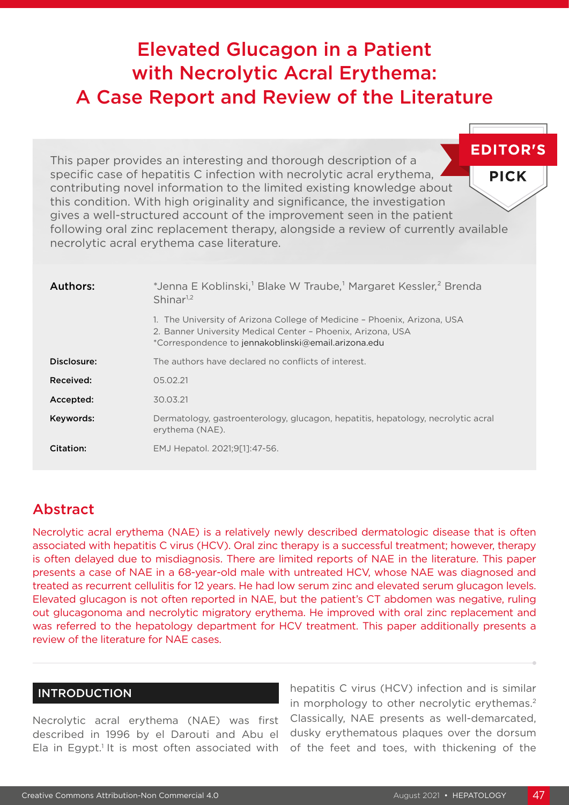# Elevated Glucagon in a Patient with Necrolytic Acral Erythema: A Case Report and Review of the Literature

**EDITOR'S** This paper provides an interesting and thorough description of a specific case of hepatitis C infection with necrolytic acral erythema, **PICK** contributing novel information to the limited existing knowledge about this condition. With high originality and significance, the investigation gives a well-structured account of the improvement seen in the patient following oral zinc replacement therapy, alongside a review of currently available necrolytic acral erythema case literature.

| Authors:    | *Jenna E Koblinski, <sup>1</sup> Blake W Traube, <sup>1</sup> Margaret Kessler, <sup>2</sup> Brenda<br>Shinar <sup>1,2</sup>                                                                   |  |  |  |  |  |  |
|-------------|------------------------------------------------------------------------------------------------------------------------------------------------------------------------------------------------|--|--|--|--|--|--|
|             | 1. The University of Arizona College of Medicine - Phoenix, Arizona, USA<br>2. Banner University Medical Center - Phoenix, Arizona, USA<br>*Correspondence to jennakoblinski@email.arizona.edu |  |  |  |  |  |  |
| Disclosure: | The authors have declared no conflicts of interest.                                                                                                                                            |  |  |  |  |  |  |
| Received:   | 05.02.21                                                                                                                                                                                       |  |  |  |  |  |  |
| Accepted:   | 30.03.21                                                                                                                                                                                       |  |  |  |  |  |  |
| Keywords:   | Dermatology, gastroenterology, glucagon, hepatitis, hepatology, necrolytic acral<br>erythema (NAE).                                                                                            |  |  |  |  |  |  |
| Citation:   | EMJ Hepatol. 2021;9[1]:47-56.                                                                                                                                                                  |  |  |  |  |  |  |

## Abstract

Necrolytic acral erythema (NAE) is a relatively newly described dermatologic disease that is often associated with hepatitis C virus (HCV). Oral zinc therapy is a successful treatment; however, therapy is often delayed due to misdiagnosis. There are limited reports of NAE in the literature. This paper presents a case of NAE in a 68-year-old male with untreated HCV, whose NAE was diagnosed and treated as recurrent cellulitis for 12 years. He had low serum zinc and elevated serum glucagon levels. Elevated glucagon is not often reported in NAE, but the patient's CT abdomen was negative, ruling out glucagonoma and necrolytic migratory erythema. He improved with oral zinc replacement and was referred to the hepatology department for HCV treatment. This paper additionally presents a review of the literature for NAE cases.

## INTRODUCTION

Necrolytic acral erythema (NAE) was first described in 1996 by el Darouti and Abu el Ela in Egypt.<sup>1</sup> It is most often associated with

hepatitis C virus (HCV) infection and is similar in morphology to other necrolytic erythemas.<sup>2</sup> Classically, NAE presents as well-demarcated, dusky erythematous plaques over the dorsum of the feet and toes, with thickening of the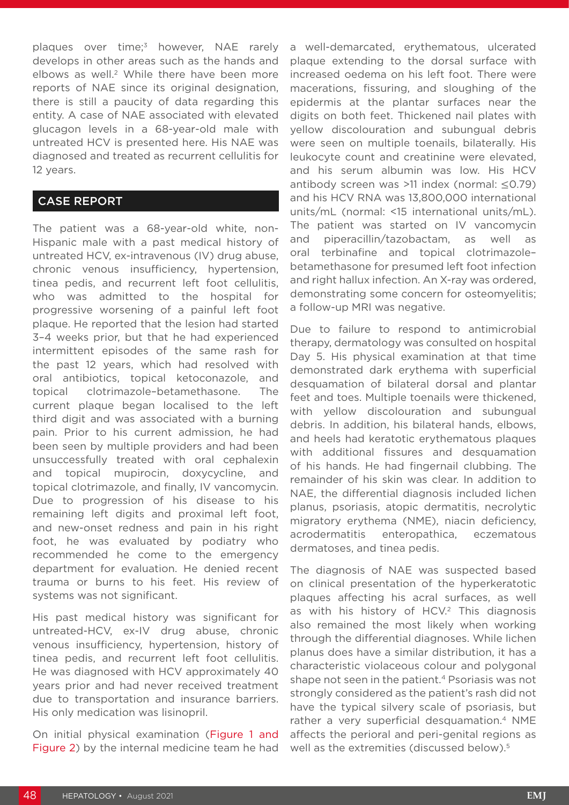plaques over time;<sup>3</sup> however, NAE rarely develops in other areas such as the hands and elbows as well.<sup>2</sup> While there have been more reports of NAE since its original designation, there is still a paucity of data regarding this entity. A case of NAE associated with elevated glucagon levels in a 68-year-old male with untreated HCV is presented here. His NAE was diagnosed and treated as recurrent cellulitis for 12 years.

## CASE REPORT

The patient was a 68-year-old white, non-Hispanic male with a past medical history of untreated HCV, ex-intravenous (IV) drug abuse, chronic venous insufficiency, hypertension, tinea pedis, and recurrent left foot cellulitis, who was admitted to the hospital for progressive worsening of a painful left foot plaque. He reported that the lesion had started 3–4 weeks prior, but that he had experienced intermittent episodes of the same rash for the past 12 years, which had resolved with oral antibiotics, topical ketoconazole, and topical clotrimazole–betamethasone. The current plaque began localised to the left third digit and was associated with a burning pain. Prior to his current admission, he had been seen by multiple providers and had been unsuccessfully treated with oral cephalexin and topical mupirocin, doxycycline, and topical clotrimazole, and finally, IV vancomycin. Due to progression of his disease to his remaining left digits and proximal left foot, and new-onset redness and pain in his right foot, he was evaluated by podiatry who recommended he come to the emergency department for evaluation. He denied recent trauma or burns to his feet. His review of systems was not significant.

His past medical history was significant for untreated-HCV, ex-IV drug abuse, chronic venous insufficiency, hypertension, history of tinea pedis, and recurrent left foot cellulitis. He was diagnosed with HCV approximately 40 years prior and had never received treatment due to transportation and insurance barriers. His only medication was lisinopril.

On initial physical examination (Figure 1 and Figure 2) by the internal medicine team he had

a well-demarcated, erythematous, ulcerated plaque extending to the dorsal surface with increased oedema on his left foot. There were macerations, fissuring, and sloughing of the epidermis at the plantar surfaces near the digits on both feet. Thickened nail plates with yellow discolouration and subungual debris were seen on multiple toenails, bilaterally. His leukocyte count and creatinine were elevated, and his serum albumin was low. His HCV antibody screen was >11 index (normal: ≤0.79) and his HCV RNA was 13,800,000 international units/mL (normal: <15 international units/mL). The patient was started on IV vancomycin and piperacillin/tazobactam, as well as oral terbinafine and topical clotrimazole– betamethasone for presumed left foot infection and right hallux infection. An X-ray was ordered, demonstrating some concern for osteomyelitis; a follow-up MRI was negative.

Due to failure to respond to antimicrobial therapy, dermatology was consulted on hospital Day 5. His physical examination at that time demonstrated dark erythema with superficial desquamation of bilateral dorsal and plantar feet and toes. Multiple toenails were thickened, with yellow discolouration and subungual debris. In addition, his bilateral hands, elbows, and heels had keratotic erythematous plaques with additional fissures and desquamation of his hands. He had fingernail clubbing. The remainder of his skin was clear. In addition to NAE, the differential diagnosis included lichen planus, psoriasis, atopic dermatitis, necrolytic migratory erythema (NME), niacin deficiency, acrodermatitis enteropathica, eczematous dermatoses, and tinea pedis.

The diagnosis of NAE was suspected based on clinical presentation of the hyperkeratotic plaques affecting his acral surfaces, as well as with his history of HCV.<sup>2</sup> This diagnosis also remained the most likely when working through the differential diagnoses. While lichen planus does have a similar distribution, it has a characteristic violaceous colour and polygonal shape not seen in the patient.<sup>4</sup> Psoriasis was not strongly considered as the patient's rash did not have the typical silvery scale of psoriasis, but rather a very superficial desquamation.<sup>4</sup> NME affects the perioral and peri-genital regions as well as the extremities (discussed below).<sup>5</sup>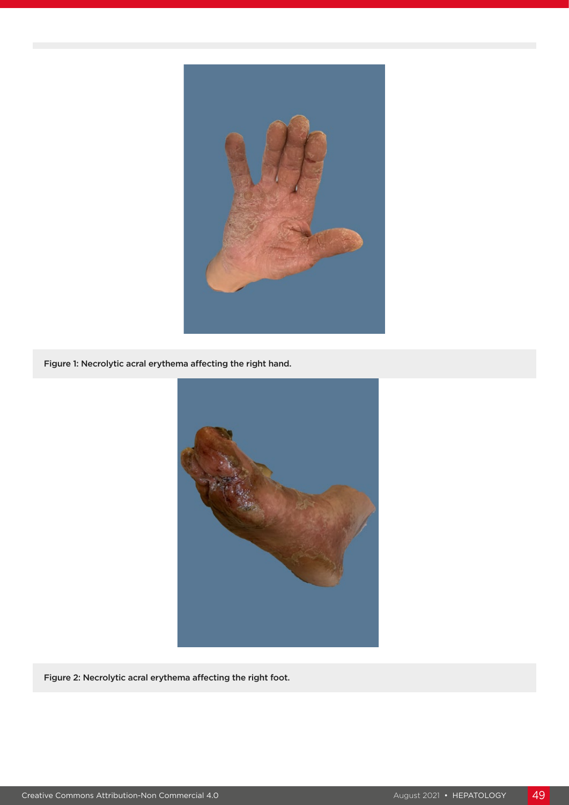

Figure 1: Necrolytic acral erythema affecting the right hand.



Figure 2: Necrolytic acral erythema affecting the right foot.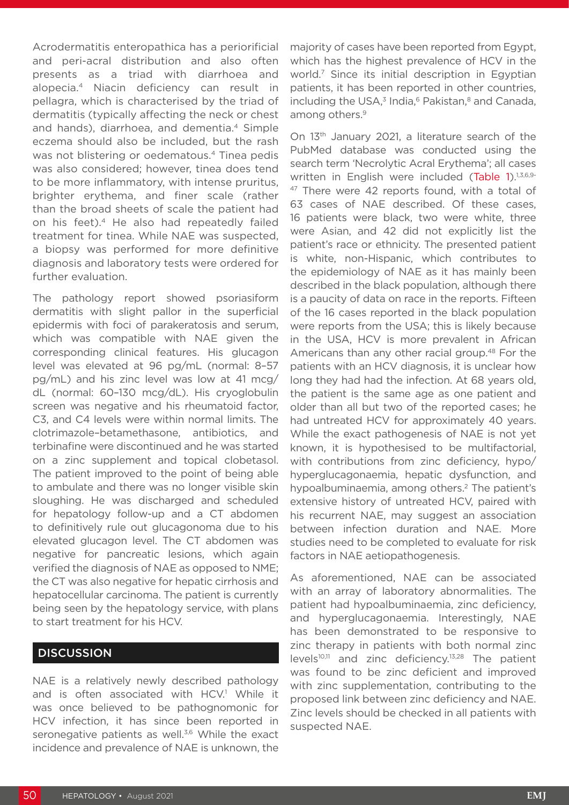Acrodermatitis enteropathica has a periorificial and peri-acral distribution and also often presents as a triad with diarrhoea and alopecia.4 Niacin deficiency can result in pellagra, which is characterised by the triad of dermatitis (typically affecting the neck or chest and hands), diarrhoea, and dementia.<sup>4</sup> Simple eczema should also be included, but the rash was not blistering or oedematous.<sup>4</sup> Tinea pedis was also considered; however, tinea does tend to be more inflammatory, with intense pruritus, brighter erythema, and finer scale (rather than the broad sheets of scale the patient had on his feet).4 He also had repeatedly failed treatment for tinea. While NAE was suspected, a biopsy was performed for more definitive diagnosis and laboratory tests were ordered for further evaluation.

The pathology report showed psoriasiform dermatitis with slight pallor in the superficial epidermis with foci of parakeratosis and serum, which was compatible with NAE given the corresponding clinical features. His glucagon level was elevated at 96 pg/mL (normal: 8–57 pg/mL) and his zinc level was low at 41 mcg/ dL (normal: 60–130 mcg/dL). His cryoglobulin screen was negative and his rheumatoid factor, C3, and C4 levels were within normal limits. The clotrimazole–betamethasone, antibiotics, and terbinafine were discontinued and he was started on a zinc supplement and topical clobetasol. The patient improved to the point of being able to ambulate and there was no longer visible skin sloughing. He was discharged and scheduled for hepatology follow-up and a CT abdomen to definitively rule out glucagonoma due to his elevated glucagon level. The CT abdomen was negative for pancreatic lesions, which again verified the diagnosis of NAE as opposed to NME; the CT was also negative for hepatic cirrhosis and hepatocellular carcinoma. The patient is currently being seen by the hepatology service, with plans to start treatment for his HCV.

## **DISCUSSION**

NAE is a relatively newly described pathology and is often associated with HCV.<sup>1</sup> While it was once believed to be pathognomonic for HCV infection, it has since been reported in seronegative patients as well.<sup>3,6</sup> While the exact incidence and prevalence of NAE is unknown, the

majority of cases have been reported from Egypt, which has the highest prevalence of HCV in the world.7 Since its initial description in Egyptian patients, it has been reported in other countries, including the USA, $3$  India, $6$  Pakistan, $8$  and Canada, among others.<sup>9</sup>

On 13th January 2021, a literature search of the PubMed database was conducted using the search term 'Necrolytic Acral Erythema'; all cases written in English were included (Table 1).<sup>1,3,6,9-</sup> <sup>47</sup> There were 42 reports found, with a total of 63 cases of NAE described. Of these cases, 16 patients were black, two were white, three were Asian, and 42 did not explicitly list the patient's race or ethnicity. The presented patient is white, non-Hispanic, which contributes to the epidemiology of NAE as it has mainly been described in the black population, although there is a paucity of data on race in the reports. Fifteen of the 16 cases reported in the black population were reports from the USA; this is likely because in the USA, HCV is more prevalent in African Americans than any other racial group.<sup>48</sup> For the patients with an HCV diagnosis, it is unclear how long they had had the infection. At 68 years old, the patient is the same age as one patient and older than all but two of the reported cases; he had untreated HCV for approximately 40 years. While the exact pathogenesis of NAE is not yet known, it is hypothesised to be multifactorial, with contributions from zinc deficiency, hypo/ hyperglucagonaemia, hepatic dysfunction, and hypoalbuminaemia, among others.<sup>2</sup> The patient's extensive history of untreated HCV, paired with his recurrent NAE, may suggest an association between infection duration and NAE. More studies need to be completed to evaluate for risk factors in NAE aetiopathogenesis.

As aforementioned, NAE can be associated with an array of laboratory abnormalities. The patient had hypoalbuminaemia, zinc deficiency, and hyperglucagonaemia. Interestingly, NAE has been demonstrated to be responsive to zinc therapy in patients with both normal zinc levels10,11 and zinc deficiency.13,28 The patient was found to be zinc deficient and improved with zinc supplementation, contributing to the proposed link between zinc deficiency and NAE. Zinc levels should be checked in all patients with suspected NAE.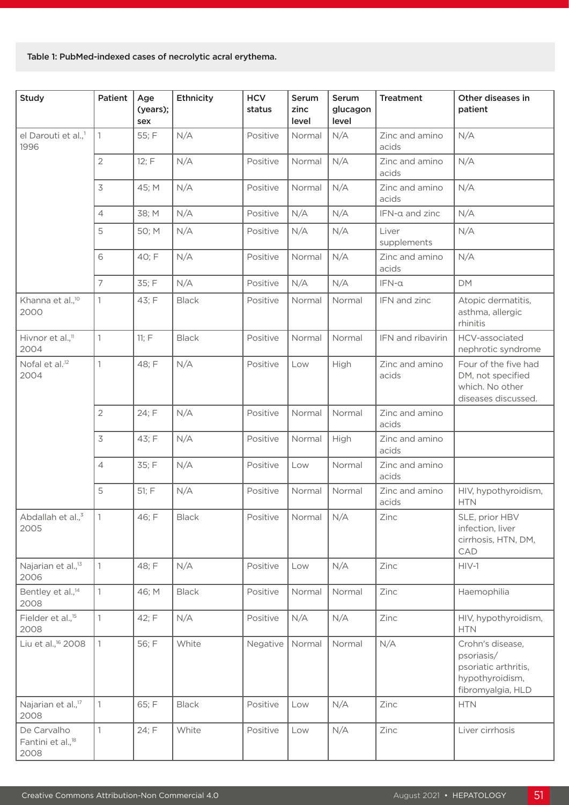#### Table 1: PubMed-indexed cases of necrolytic acral erythema.

| <b>Study</b>                                         | Patient                  | Age<br>(years);<br>sex | Ethnicity    | <b>HCV</b><br>status | Serum<br>zinc<br>level | Serum<br>glucagon<br>level | <b>Treatment</b>        | Other diseases in<br>patient                                                                   |
|------------------------------------------------------|--------------------------|------------------------|--------------|----------------------|------------------------|----------------------------|-------------------------|------------------------------------------------------------------------------------------------|
| el Darouti et al., <sup>1</sup><br>1996              | 1                        | 55; F                  | N/A          | Positive             | Normal                 | N/A                        | Zinc and amino<br>acids | N/A                                                                                            |
|                                                      | $\overline{2}$           | 12; F                  | N/A          | Positive             | Normal                 | N/A                        | Zinc and amino<br>acids | N/A                                                                                            |
|                                                      | $\overline{\mathcal{S}}$ | 45; M                  | N/A          | Positive             | Normal                 | N/A                        | Zinc and amino<br>acids | N/A                                                                                            |
|                                                      | $\overline{4}$           | 38; M                  | N/A          | Positive             | N/A                    | N/A                        | IFN-a and zinc          | N/A                                                                                            |
|                                                      | 5                        | 50; M                  | N/A          | Positive             | N/A                    | N/A                        | Liver<br>supplements    | N/A                                                                                            |
|                                                      | 6                        | 40; F                  | N/A          | Positive             | Normal                 | N/A                        | Zinc and amino<br>acids | N/A                                                                                            |
|                                                      | $\overline{7}$           | 35; F                  | N/A          | Positive             | N/A                    | N/A                        | $IFN-\alpha$            | DM                                                                                             |
| Khanna et al., <sup>10</sup><br>2000                 | 1                        | 43; F                  | <b>Black</b> | Positive             | Normal                 | Normal                     | IFN and zinc            | Atopic dermatitis,<br>asthma, allergic<br>rhinitis                                             |
| Hivnor et al., <sup>11</sup><br>2004                 | 1                        | 11; F                  | <b>Black</b> | Positive             | Normal                 | Normal                     | IFN and ribavirin       | HCV-associated<br>nephrotic syndrome                                                           |
| Nofal et al. <sup>12</sup><br>2004                   | 1                        | 48; F                  | N/A          | Positive             | Low                    | High                       | Zinc and amino<br>acids | Four of the five had<br>DM, not specified<br>which. No other<br>diseases discussed.            |
|                                                      | $\overline{2}$           | 24; F                  | N/A          | Positive             | Normal                 | Normal                     | Zinc and amino<br>acids |                                                                                                |
|                                                      | $\mathfrak Z$            | 43; F                  | N/A          | Positive             | Normal                 | High                       | Zinc and amino<br>acids |                                                                                                |
|                                                      | $\overline{4}$           | 35; F                  | N/A          | Positive             | Low                    | Normal                     | Zinc and amino<br>acids |                                                                                                |
|                                                      | 5                        | 51; F                  | N/A          | Positive             | Normal                 | Normal                     | Zinc and amino<br>acids | HIV, hypothyroidism,<br><b>HTN</b>                                                             |
| Abdallah et al., <sup>3</sup><br>2005                | $\mathbf{1}$             | 46; F                  | <b>Black</b> | Positive             | Normal                 | N/A                        | Zinc                    | SLE, prior HBV<br>infection, liver<br>cirrhosis, HTN, DM,<br>CAD                               |
| Najarian et al., <sup>13</sup><br>2006               | $\mathbf{1}$             | 48; F                  | N/A          | Positive             | Low                    | N/A                        | Zinc                    | $HIV-1$                                                                                        |
| Bentley et al., <sup>14</sup><br>2008                | $\mathbf{1}$             | 46; M                  | <b>Black</b> | Positive             | Normal                 | Normal                     | Zinc                    | Haemophilia                                                                                    |
| Fielder et al., <sup>15</sup><br>2008                | 1                        | 42; F                  | N/A          | Positive             | N/A                    | N/A                        | Zinc                    | HIV, hypothyroidism,<br><b>HTN</b>                                                             |
| Liu et al., <sup>16</sup> 2008                       | $\mathbf{1}$             | 56; F                  | White        | Negative             | Normal                 | Normal                     | N/A                     | Crohn's disease,<br>psoriasis/<br>psoriatic arthritis,<br>hypothyroidism,<br>fibromyalgia, HLD |
| Najarian et al., <sup>17</sup><br>2008               | $\mathbf{1}$             | 65; F                  | <b>Black</b> | Positive             | Low                    | N/A                        | Zinc                    | <b>HTN</b>                                                                                     |
| De Carvalho<br>Fantini et al., <sup>18</sup><br>2008 | $\mathbb{1}$             | 24; F                  | White        | Positive             | Low                    | N/A                        | Zinc                    | Liver cirrhosis                                                                                |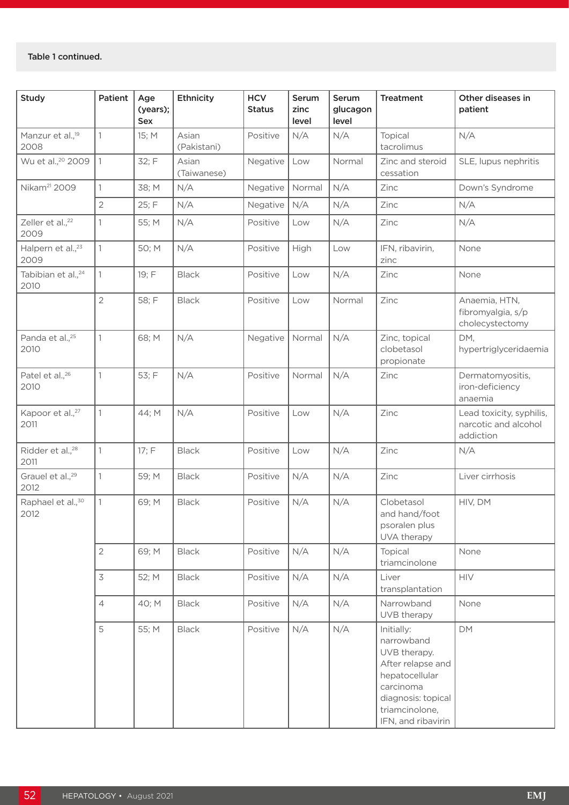| <b>Study</b>                           | Patient        | Age<br>(years);<br>Sex | <b>Ethnicity</b>     | <b>HCV</b><br><b>Status</b> | Serum<br>zinc<br>level | Serum<br>glucagon<br>level | <b>Treatment</b>                                                                                                                                           | Other diseases in<br>patient                                  |
|----------------------------------------|----------------|------------------------|----------------------|-----------------------------|------------------------|----------------------------|------------------------------------------------------------------------------------------------------------------------------------------------------------|---------------------------------------------------------------|
| Manzur et al., <sup>19</sup><br>2008   | 1              | 15; M                  | Asian<br>(Pakistani) | Positive                    | N/A                    | N/A                        | Topical<br>tacrolimus                                                                                                                                      | N/A                                                           |
| Wu et al., <sup>20</sup> 2009          | $\mathbf{1}$   | 32; F                  | Asian<br>(Taiwanese) | Negative                    | Low                    | Normal                     | Zinc and steroid<br>cessation                                                                                                                              | SLE, lupus nephritis                                          |
| Nikam <sup>21</sup> 2009               | 1              | 38; M                  | N/A                  | Negative                    | Normal                 | N/A                        | Zinc                                                                                                                                                       | Down's Syndrome                                               |
|                                        | $\overline{2}$ | 25; F                  | N/A                  | Negative                    | N/A                    | N/A                        | Zinc                                                                                                                                                       | N/A                                                           |
| Zeller et al., <sup>22</sup><br>2009   | 1              | 55; M                  | N/A                  | Positive                    | Low                    | N/A                        | Zinc                                                                                                                                                       | N/A                                                           |
| Halpern et al., <sup>23</sup><br>2009  | 1              | 50; M                  | N/A                  | Positive                    | High                   | Low                        | IFN, ribavirin,<br>zinc                                                                                                                                    | None                                                          |
| Tabibian et al., <sup>24</sup><br>2010 | $\mathbf{1}$   | 19; F                  | <b>Black</b>         | Positive                    | Low                    | N/A                        | Zinc                                                                                                                                                       | None                                                          |
|                                        | $\overline{2}$ | 58; F                  | <b>Black</b>         | Positive                    | Low                    | Normal                     | Zinc                                                                                                                                                       | Anaemia, HTN,<br>fibromyalgia, s/p<br>cholecystectomy         |
| Panda et al., <sup>25</sup><br>2010    | 1              | 68; M                  | N/A                  | Negative                    | Normal                 | N/A                        | Zinc, topical<br>clobetasol<br>propionate                                                                                                                  | DM,<br>hypertriglyceridaemia                                  |
| Patel et al., <sup>26</sup><br>2010    | 1              | 53; F                  | N/A                  | Positive                    | Normal                 | N/A                        | Zinc                                                                                                                                                       | Dermatomyositis,<br>iron-deficiency<br>anaemia                |
| Kapoor et al., <sup>27</sup><br>2011   | 1              | 44; M                  | N/A                  | Positive                    | Low                    | N/A                        | Zinc                                                                                                                                                       | Lead toxicity, syphilis,<br>narcotic and alcohol<br>addiction |
| Ridder et al., <sup>28</sup><br>2011   | 1              | 17; F                  | <b>Black</b>         | Positive                    | Low                    | N/A                        | Zinc                                                                                                                                                       | N/A                                                           |
| Grauel et al., <sup>29</sup><br>2012   | 1              | 59; M                  | <b>Black</b>         | Positive                    | N/A                    | N/A                        | Zinc                                                                                                                                                       | Liver cirrhosis                                               |
| Raphael et al., <sup>30</sup><br>2012  | 1              | 69; M                  | <b>Black</b>         | Positive                    | N/A                    | N/A                        | Clobetasol<br>and hand/foot<br>psoralen plus<br>UVA therapy                                                                                                | HIV, DM                                                       |
|                                        | $\overline{2}$ | 69; M                  | <b>Black</b>         | Positive                    | N/A                    | N/A                        | Topical<br>triamcinolone                                                                                                                                   | None                                                          |
|                                        | 3              | 52; M                  | <b>Black</b>         | Positive                    | N/A                    | N/A                        | Liver<br>transplantation                                                                                                                                   | <b>HIV</b>                                                    |
|                                        | $\overline{4}$ | 40; M                  | <b>Black</b>         | Positive                    | N/A                    | N/A                        | Narrowband<br>UVB therapy                                                                                                                                  | None                                                          |
|                                        | 5              | 55; M                  | <b>Black</b>         | Positive                    | N/A                    | N/A                        | Initially:<br>narrowband<br>UVB therapy.<br>After relapse and<br>hepatocellular<br>carcinoma<br>diagnosis: topical<br>triamcinolone,<br>IFN, and ribavirin | DM                                                            |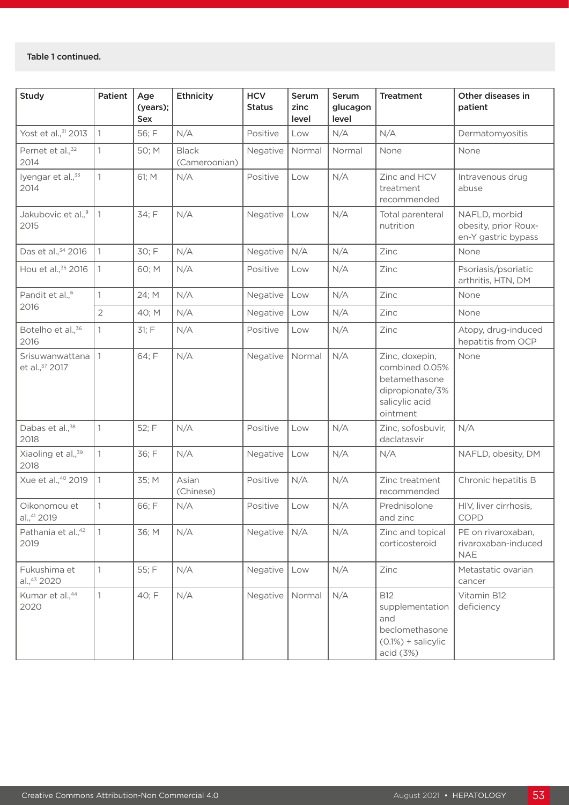| <b>Study</b>                            | Patient        | Age<br>(years);<br>Sex | Ethnicity                     | <b>HCV</b><br><b>Status</b> | Serum<br>zinc<br>level | Serum<br>glucagon<br>level | <b>Treatment</b>                                                                                   | Other diseases in<br>patient                                 |
|-----------------------------------------|----------------|------------------------|-------------------------------|-----------------------------|------------------------|----------------------------|----------------------------------------------------------------------------------------------------|--------------------------------------------------------------|
| Yost et al., 31 2013                    | $\mathbf{1}$   | 56; F                  | N/A                           | Positive                    | Low                    | N/A                        | N/A                                                                                                | Dermatomyositis                                              |
| Pernet et al., <sup>32</sup><br>2014    | 1              | 50; M                  | <b>Black</b><br>(Cameroonian) | Negative                    | Normal                 | Normal                     | None                                                                                               | None                                                         |
| lyengar et al., 33<br>2014              | $\mathbf{1}$   | 61; M                  | N/A                           | Positive                    | Low                    | N/A                        | Zinc and HCV<br>treatment<br>recommended                                                           | Intravenous drug<br>abuse                                    |
| Jakubovic et al., <sup>9</sup><br>2015  | 1              | 34; F                  | N/A                           | Negative                    | Low                    | N/A                        | Total parenteral<br>nutrition                                                                      | NAFLD, morbid<br>obesity, prior Roux-<br>en-Y gastric bypass |
| Das et al., 34 2016                     | $\mathbf{1}$   | 30; F                  | N/A                           | Negative                    | N/A                    | N/A                        | Zinc                                                                                               | None                                                         |
| Hou et al., 35 2016                     | 1              | 60; M                  | N/A                           | Positive                    | Low                    | N/A                        | Zinc                                                                                               | Psoriasis/psoriatic<br>arthritis, HTN, DM                    |
| Pandit et al., <sup>6</sup>             | 1              | 24; M                  | N/A                           | Negative                    | Low                    | N/A                        | Zinc                                                                                               | None                                                         |
| 2016                                    | $\overline{2}$ | 40; M                  | N/A                           | Negative                    | Low                    | N/A                        | Zinc                                                                                               | None                                                         |
| Botelho et al., <sup>36</sup><br>2016   | 1              | 31; F                  | N/A                           | Positive                    | Low                    | N/A                        | Zinc                                                                                               | Atopy, drug-induced<br>hepatitis from OCP                    |
| Srisuwanwattana<br>et al., 37 2017      | 1              | 64; F                  | N/A                           | Negative                    | Normal                 | N/A                        | Zinc, doxepin,<br>combined 0.05%<br>betamethasone<br>dipropionate/3%<br>salicylic acid<br>ointment | None                                                         |
| Dabas et al., <sup>38</sup><br>2018     | 1              | 52; F                  | N/A                           | Positive                    | Low                    | N/A                        | Zinc, sofosbuvir,<br>daclatasvir                                                                   | N/A                                                          |
| Xiaoling et al., 39<br>2018             | $\mathbb{1}$   | 36; F                  | N/A                           | Negative                    | Low                    | N/A                        | N/A                                                                                                | NAFLD, obesity, DM                                           |
| Xue et al., <sup>40</sup> 2019          | $\mathbb{1}$   | 35; M                  | Asian<br>(Chinese)            | Positive                    | N/A                    | N/A                        | Zinc treatment<br>recommended                                                                      | Chronic hepatitis B                                          |
| Oikonomou et<br>al., <sup>41</sup> 2019 | 1              | 66; F                  | N/A                           | Positive                    | Low                    | N/A                        | Prednisolone<br>and zinc                                                                           | HIV, liver cirrhosis,<br><b>COPD</b>                         |
| Pathania et al., 42<br>2019             | 1              | 36; M                  | N/A                           | Negative                    | N/A                    | N/A                        | Zinc and topical<br>corticosteroid                                                                 | PE on rivaroxaban,<br>rivaroxaban-induced<br><b>NAE</b>      |
| Fukushima et<br>al.,43 2020             | 1              | 55; F                  | N/A                           | Negative                    | Low                    | N/A                        | Zinc                                                                                               | Metastatic ovarian<br>cancer                                 |
| Kumar et al., <sup>44</sup><br>2020     | $\mathbf{1}$   | 40; F                  | N/A                           | Negative                    | Normal                 | N/A                        | <b>B12</b><br>supplementation<br>and<br>beclomethasone<br>$(0.1%) +$ salicylic<br>acid (3%)        | Vitamin B12<br>deficiency                                    |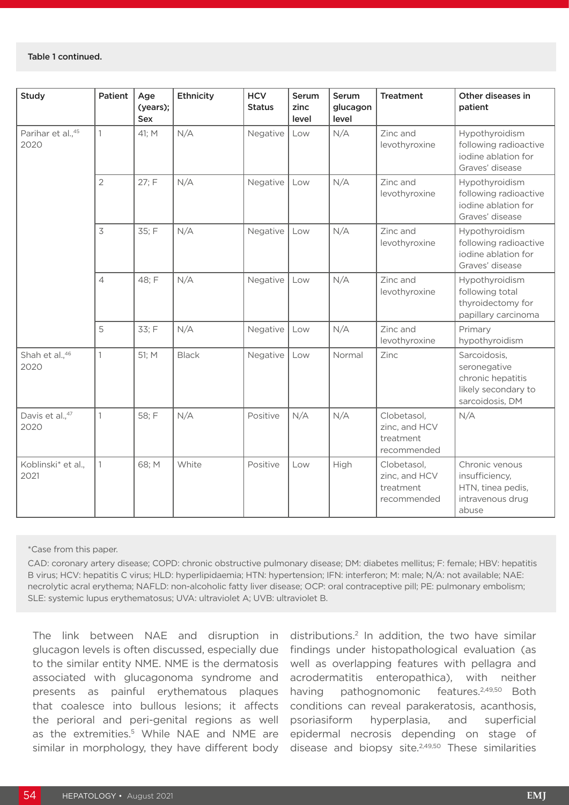#### Table 1 continued.

| Study                      | Patient        | Age<br>(years);<br>Sex | Ethnicity    | <b>HCV</b><br><b>Status</b> | Serum<br>zinc<br>level | Serum<br>glucagon<br>level | <b>Treatment</b>                                         | Other diseases in<br>patient                                                                |
|----------------------------|----------------|------------------------|--------------|-----------------------------|------------------------|----------------------------|----------------------------------------------------------|---------------------------------------------------------------------------------------------|
| Parihar et al., 45<br>2020 | $\mathbf{1}$   | 41; M                  | N/A          | Negative                    | Low                    | N/A                        | Zinc and<br>levothyroxine                                | Hypothyroidism<br>following radioactive<br>iodine ablation for<br>Graves' disease           |
|                            | $\overline{2}$ | 27; F                  | N/A          | Negative                    | Low                    | N/A                        | Zinc and<br>levothyroxine                                | Hypothyroidism<br>following radioactive<br>jodine ablation for<br>Graves' disease           |
|                            | 3              | 35; F                  | N/A          | Negative                    | Low                    | N/A                        | Zinc and<br>levothyroxine                                | Hypothyroidism<br>following radioactive<br>iodine ablation for<br>Graves' disease           |
|                            | $\overline{4}$ | 48; F                  | N/A          | Negative                    | Low                    | N/A                        | Zinc and<br>levothyroxine                                | Hypothyroidism<br>following total<br>thyroidectomy for<br>papillary carcinoma               |
|                            | 5              | 33; F                  | N/A          | Negative                    | Low                    | N/A                        | Zinc and<br>levothyroxine                                | Primary<br>hypothyroidism                                                                   |
| Shah et al., 46<br>2020    | $\mathbf{1}$   | 51; M                  | <b>Black</b> | Negative                    | Low                    | Normal                     | Zinc                                                     | Sarcoidosis,<br>seronegative<br>chronic hepatitis<br>likely secondary to<br>sarcoidosis, DM |
| Davis et al.,47<br>2020    | $\mathbf{1}$   | 58; F                  | N/A          | Positive                    | N/A                    | N/A                        | Clobetasol,<br>zinc, and HCV<br>treatment<br>recommended | N/A                                                                                         |
| Koblinski* et al.,<br>2021 | $\mathbb{1}$   | 68; M                  | White        | Positive                    | Low                    | High                       | Clobetasol,<br>zinc, and HCV<br>treatment<br>recommended | Chronic venous<br>insufficiency,<br>HTN, tinea pedis,<br>intravenous drug<br>abuse          |

\*Case from this paper.

CAD: coronary artery disease; COPD: chronic obstructive pulmonary disease; DM: diabetes mellitus; F: female; HBV: hepatitis B virus; HCV: hepatitis C virus; HLD: hyperlipidaemia; HTN: hypertension; IFN: interferon; M: male; N/A: not available; NAE: necrolytic acral erythema; NAFLD: non-alcoholic fatty liver disease; OCP: oral contraceptive pill; PE: pulmonary embolism; SLE: systemic lupus erythematosus; UVA: ultraviolet A; UVB: ultraviolet B.

The link between NAE and disruption in glucagon levels is often discussed, especially due to the similar entity NME. NME is the dermatosis associated with glucagonoma syndrome and presents as painful erythematous plaques that coalesce into bullous lesions; it affects the perioral and peri-genital regions as well as the extremities.<sup>5</sup> While NAE and NME are similar in morphology, they have different body

distributions.2 In addition, the two have similar findings under histopathological evaluation (as well as overlapping features with pellagra and acrodermatitis enteropathica), with neither having pathognomonic features.<sup>2,49,50</sup> Both conditions can reveal parakeratosis, acanthosis, psoriasiform hyperplasia, and superficial epidermal necrosis depending on stage of disease and biopsy site.2,49,50 These similarities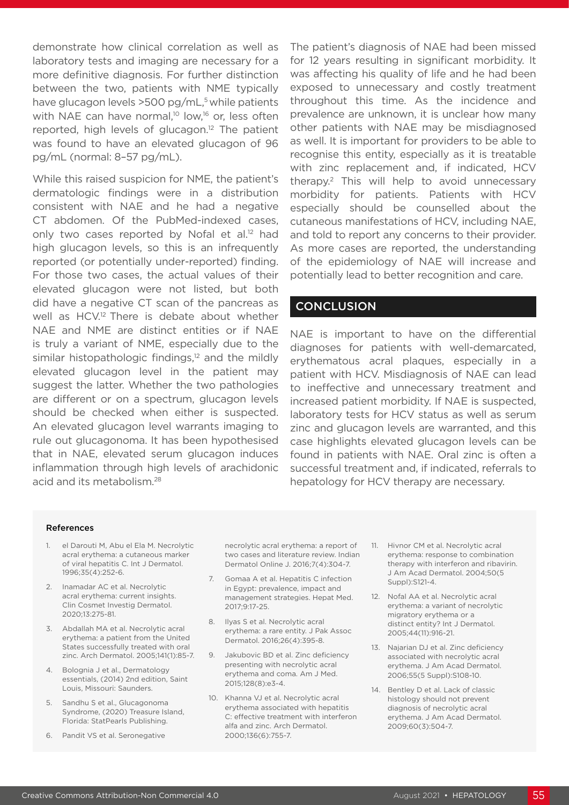demonstrate how clinical correlation as well as laboratory tests and imaging are necessary for a more definitive diagnosis. For further distinction between the two, patients with NME typically have glucagon levels  $>500$  pg/mL,<sup>5</sup> while patients with NAE can have normal,<sup>10</sup> low,<sup>16</sup> or, less often reported, high levels of glucagon.12 The patient was found to have an elevated glucagon of 96 pg/mL (normal: 8–57 pg/mL).

While this raised suspicion for NME, the patient's dermatologic findings were in a distribution consistent with NAE and he had a negative CT abdomen. Of the PubMed-indexed cases, only two cases reported by Nofal et al.<sup>12</sup> had high glucagon levels, so this is an infrequently reported (or potentially under-reported) finding. For those two cases, the actual values of their elevated glucagon were not listed, but both did have a negative CT scan of the pancreas as well as HCV.12 There is debate about whether NAE and NME are distinct entities or if NAE is truly a variant of NME, especially due to the similar histopathologic findings, $12$  and the mildly elevated glucagon level in the patient may suggest the latter. Whether the two pathologies are different or on a spectrum, glucagon levels should be checked when either is suspected. An elevated glucagon level warrants imaging to rule out glucagonoma. It has been hypothesised that in NAE, elevated serum glucagon induces inflammation through high levels of arachidonic acid and its metabolism.28

The patient's diagnosis of NAE had been missed for 12 years resulting in significant morbidity. It was affecting his quality of life and he had been exposed to unnecessary and costly treatment throughout this time. As the incidence and prevalence are unknown, it is unclear how many other patients with NAE may be misdiagnosed as well. It is important for providers to be able to recognise this entity, especially as it is treatable with zinc replacement and, if indicated, HCV therapy.2 This will help to avoid unnecessary morbidity for patients. Patients with HCV especially should be counselled about the cutaneous manifestations of HCV, including NAE, and told to report any concerns to their provider. As more cases are reported, the understanding of the epidemiology of NAE will increase and potentially lead to better recognition and care.

## **CONCLUSION**

NAE is important to have on the differential diagnoses for patients with well-demarcated, erythematous acral plaques, especially in a patient with HCV. Misdiagnosis of NAE can lead to ineffective and unnecessary treatment and increased patient morbidity. If NAE is suspected, laboratory tests for HCV status as well as serum zinc and glucagon levels are warranted, and this case highlights elevated glucagon levels can be found in patients with NAE. Oral zinc is often a successful treatment and, if indicated, referrals to hepatology for HCV therapy are necessary.

#### References

- 1. el Darouti M, Abu el Ela M. Necrolytic acral erythema: a cutaneous marker of viral hepatitis C. Int J Dermatol. 1996;35(4):252-6.
- 2. Inamadar AC et al. Necrolytic acral erythema: current insights. Clin Cosmet Investig Dermatol. 2020;13:275-81.
- 3. Abdallah MA et al. Necrolytic acral erythema: a patient from the United States successfully treated with oral zinc. Arch Dermatol. 2005;141(1):85-7.
- 4. Bolognia J et al., Dermatology essentials, (2014) 2nd edition, Saint Louis, Missouri: Saunders.
- Sandhu S et al., Glucagonoma Syndrome, (2020) Treasure Island, Florida: StatPearls Publishing.
- 6. Pandit VS et al. Seronegative

necrolytic acral erythema: a report of two cases and literature review. Indian Dermatol Online J. 2016;7(4):304-7.

- 7. Gomaa A et al. Hepatitis C infection in Egypt: prevalence, impact and management strategies. Hepat Med. 2017;9:17-25.
- 8. Ilyas S et al. Necrolytic acral erythema: a rare entity. J Pak Assoc Dermatol. 2016;26(4):395-8.
- 9. Jakubovic BD et al. Zinc deficiency presenting with necrolytic acral erythema and coma. Am J Med. 2015;128(8):e3-4.
- 10. Khanna VJ et al. Necrolytic acral erythema associated with hepatitis C: effective treatment with interferon alfa and zinc. Arch Dermatol. 2000;136(6):755-7.
- 11. Hivnor CM et al. Necrolytic acral erythema: response to combination therapy with interferon and ribavirin. J Am Acad Dermatol. 2004;50(5 Suppl):S121-4.
- 12. Nofal AA et al. Necrolytic acral erythema: a variant of necrolytic migratory erythema or a distinct entity? Int J Dermatol. 2005;44(11):916-21.
- 13. Najarian DJ et al. Zinc deficiency associated with necrolytic acral erythema. J Am Acad Dermatol. 2006;55(5 Suppl):S108-10.
- 14. Bentley D et al. Lack of classic histology should not prevent diagnosis of necrolytic acral erythema. J Am Acad Dermatol. 2009;60(3):504-7.